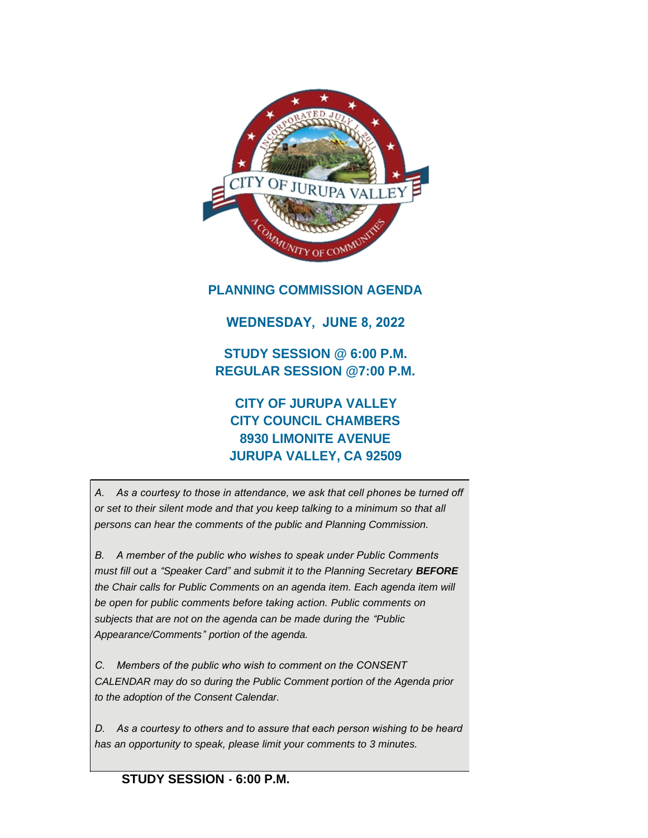

# **PLANNING COMMISSION AGENDA**

# **WEDNESDAY, JUNE 8, 2022**

**STUDY SESSION @ 6:00 P.M. REGULAR SESSION @7:00 P.M.**

# **CITY OF JURUPA VALLEY CITY COUNCIL CHAMBERS 8930 LIMONITE AVENUE JURUPA VALLEY, CA 92509**

*A. As a courtesy to those in attendance, we ask that cell phones be turned off or set to their silent mode and that you keep talking to a minimum so that all persons can hear the comments of the public and Planning Commission.*

*B. A member of the public who wishes to speak under Public Comments must fill out a "Speaker Card" and submit it to the Planning Secretary BEFORE the Chair calls for Public Comments on an agenda item. Each agenda item will be open for public comments before taking action. Public comments on subjects that are not on the agenda can be made during the "Public Appearance/Comments" portion of the agenda.*

*C. Members of the public who wish to comment on the CONSENT CALENDAR may do so during the Public Comment portion of the Agenda prior to the adoption of the Consent Calendar.*

*D. As a courtesy to others and to assure that each person wishing to be heard has an opportunity to speak, please limit your comments to 3 minutes.*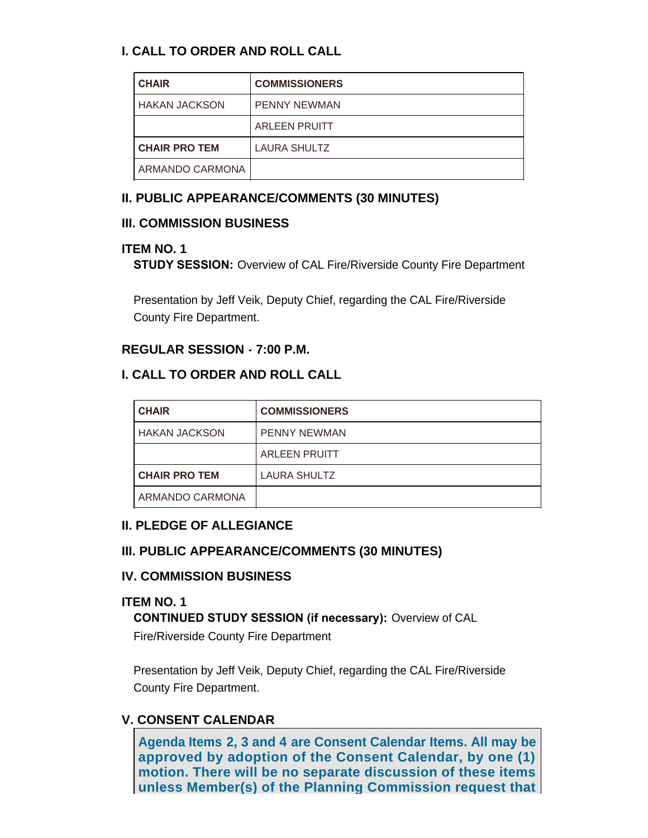# **I. CALL TO ORDER AND ROLL CALL**

| <b>CHAIR</b>         | <b>COMMISSIONERS</b> |
|----------------------|----------------------|
| I HAKAN JACKSON      | <b>PENNY NEWMAN</b>  |
|                      | <b>ARLEEN PRUITT</b> |
| <b>CHAIR PRO TEM</b> | <b>LAURA SHULTZ</b>  |
| ARMANDO CARMONA      |                      |

# **II. PUBLIC APPEARANCE/COMMENTS (30 MINUTES)**

## **III. COMMISSION BUSINESS**

# **ITEM NO. 1**

**STUDY SESSION:** Overview of CAL Fire/Riverside County Fire Department

Presentation by Jeff Veik, Deputy Chief, regarding the CAL Fire/Riverside County Fire Department.

# **REGULAR SESSION - 7:00 P.M.**

# **I. CALL TO ORDER AND ROLL CALL**

| <b>CHAIR</b>         | <b>COMMISSIONERS</b> |
|----------------------|----------------------|
| <b>HAKAN JACKSON</b> | <b>PENNY NEWMAN</b>  |
|                      | <b>ARLEEN PRUITT</b> |
| <b>CHAIR PRO TEM</b> | <b>LAURA SHULTZ</b>  |
| ARMANDO CARMONA      |                      |

## **II. PLEDGE OF ALLEGIANCE**

## **III. PUBLIC APPEARANCE/COMMENTS (30 MINUTES)**

## **IV. COMMISSION BUSINESS**

## **ITEM NO. 1**

**CONTINUED STUDY SESSION (if necessary):** Overview of CAL Fire/Riverside County Fire Department

Presentation by Jeff Veik, Deputy Chief, regarding the CAL Fire/Riverside County Fire Department.

# **V. CONSENT CALENDAR**

**Agenda Items 2, 3 and 4 are Consent Calendar Items. All may be approved by adoption of the Consent Calendar, by one (1) motion. There will be no separate discussion of these items unless Member(s) of the Planning Commission request that**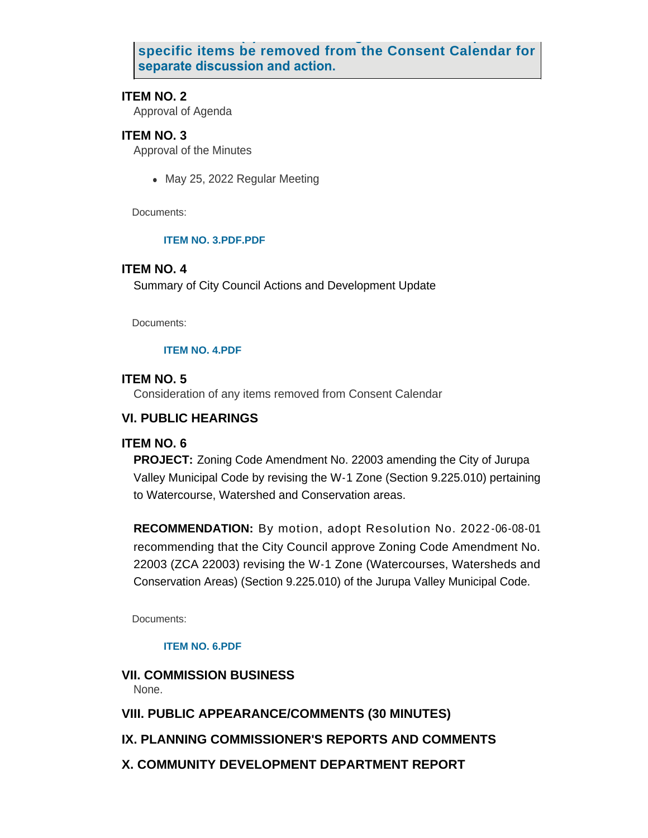**unless Member(s) of the Planning Commission request that specific items be removed from the Consent Calendar for separate discussion and action.** 

#### **ITEM NO. 2**

Approval of Agenda

## **ITEM NO. 3**

Approval of the Minutes

• May 25, 2022 Regular Meeting

Documents:

#### **[ITEM NO. 3.PDF.PDF](https://www.jurupavalley.org/AgendaCenter/ViewFile/Item/716?fileID=686)**

#### **ITEM NO. 4**

Summary of City Council Actions and Development Update

Documents:

#### **[ITEM NO. 4.PDF](https://www.jurupavalley.org/AgendaCenter/ViewFile/Item/717?fileID=687)**

#### **ITEM NO. 5**

Consideration of any items removed from Consent Calendar

#### **VI. PUBLIC HEARINGS**

#### **ITEM NO. 6**

**PROJECT:** Zoning Code Amendment No. 22003 amending the City of Jurupa Valley Municipal Code by revising the W-1 Zone (Section 9.225.010) pertaining to Watercourse, Watershed and Conservation areas.

**RECOMMENDATION:** By motion, adopt Resolution No. 2022 -06-08-01 recommending that the City Council approve Zoning Code Amendment No. 22003 (ZCA 22003) revising the W-1 Zone (Watercourses, Watersheds and Conservation Areas) (Section 9.225.010) of the Jurupa Valley Municipal Code.

Documents:

#### **[ITEM NO. 6.PDF](https://www.jurupavalley.org/AgendaCenter/ViewFile/Item/720?fileID=688)**

## **VII. COMMISSION BUSINESS**

None.

## **VIII. PUBLIC APPEARANCE/COMMENTS (30 MINUTES)**

## **IX. PLANNING COMMISSIONER'S REPORTS AND COMMENTS**

## **X. COMMUNITY DEVELOPMENT DEPARTMENT REPORT**